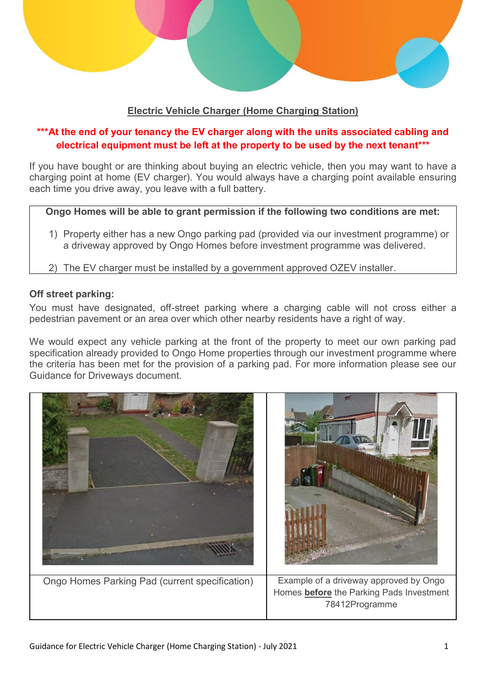

# **Electric Vehicle Charger (Home Charging Station)**

# \*\*\*At the end of your tenancy the EV charger along with the units associated cabling and **electrical equipment must be left at the property to be used by the next tenant\*\*\***

If you have bought or are thinking about buying an electric vehicle, then you may want to have a charging point at home (EV charger). You would always have a charging point available ensuring each time you drive away, you leave with a full battery.

**Ongo Homes will be able to grant permission if the following two conditions are met:**

- 1) Property either has a new Ongo parking pad (provided via our investment programme) or a driveway approved by Ongo Homes before investment programme was delivered.
- 2) The EV charger must be installed by a government approved OZEV installer.

### **Off street parking:**

You must have designated, off-street parking where a charging cable will not cross either a pedestrian pavement or an area over which other nearby residents have a right of way.

We would expect any vehicle parking at the front of the property to meet our own parking pad specification already provided to Ongo Home properties through our investment programme where the criteria has been met for the provision of a parking pad. For more information please see our Guidance for Driveways document.

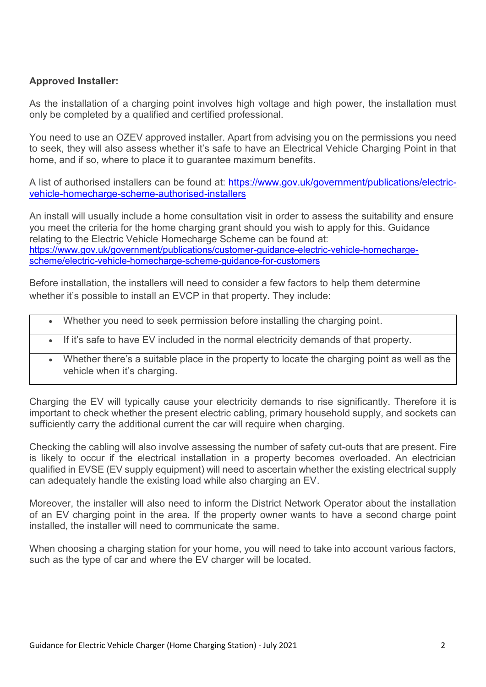## **Approved Installer:**

As the installation of a charging point involves high voltage and high power, the installation must only be completed by a qualified and certified professional.

You need to use an [OZEV approved installer.](https://www.gov.uk/government/publications/workplace-charging-scheme-authorised-installers) Apart from advising you on the permissions you need to seek, they will also assess whether it's safe to have an Electrical Vehicle Charging Point in that home, and if so, where to place it to guarantee maximum benefits.

A list of authorised installers can be found at: [https://www.gov.uk/government/publications/electric](https://www.gov.uk/government/publications/electric-vehicle-homecharge-scheme-authorised-installers)[vehicle-homecharge-scheme-authorised-installers](https://www.gov.uk/government/publications/electric-vehicle-homecharge-scheme-authorised-installers)

An install will usually include a home consultation visit in order to assess the suitability and ensure you meet the criteria for the home charging grant should you wish to apply for this. Guidance relating to the Electric Vehicle Homecharge Scheme can be found at: [https://www.gov.uk/government/publications/customer-guidance-electric-vehicle-homecharge](https://www.gov.uk/government/publications/customer-guidance-electric-vehicle-homecharge-scheme/electric-vehicle-homecharge-scheme-guidance-for-customers)[scheme/electric-vehicle-homecharge-scheme-guidance-for-customers](https://www.gov.uk/government/publications/customer-guidance-electric-vehicle-homecharge-scheme/electric-vehicle-homecharge-scheme-guidance-for-customers)

Before installation, the installers will need to consider a few factors to help them determine whether it's possible to install an EVCP in that property. They include:

- Whether you need to seek permission before installing the charging point.
- If it's safe to have EV included in the normal electricity demands of that property.
	- Whether there's a suitable place in the property to locate the charging point as well as the vehicle when it's charging.

Charging the EV will typically cause your electricity demands to rise significantly. Therefore it is important to check whether the present electric cabling, primary household supply, and sockets can sufficiently carry the additional current the car will require when charging.

Checking the cabling will also involve assessing the number of safety cut-outs that are present. Fire is likely to occur if the electrical installation in a property becomes overloaded. An electrician qualified in EVSE (EV supply equipment) will need to ascertain whether the existing electrical supply can adequately handle the existing load while also charging an EV.

Moreover, the installer will also need to inform the District Network Operator about the installation of an EV charging point in the area. If the property owner wants to have a second charge point installed, the installer will need to communicate the same.

When choosing a charging station for your home, you will need to take into account various factors, such as the type of car and where the EV charger will be located.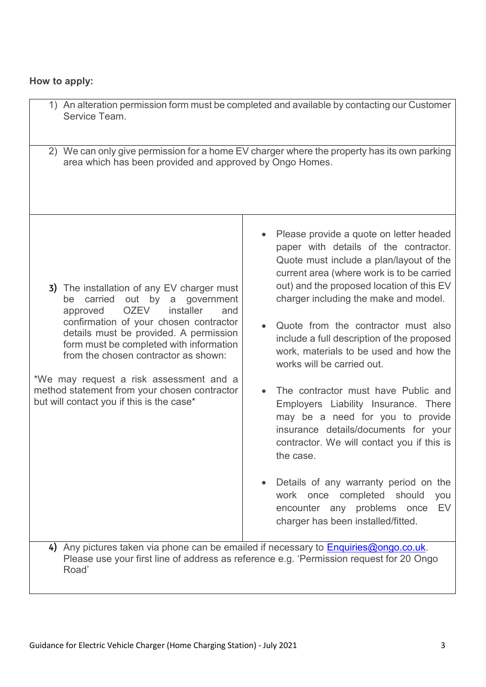# **How to apply:**

| 1) An alteration permission form must be completed and available by contacting our Customer<br>Service Team.                                                                                                                                                                                                                                                                                                                                              |                                                                                                                                                                                                                                                                                                                                                                                                                                                                                                                                                                                                                                                                                                                                                                                                            |
|-----------------------------------------------------------------------------------------------------------------------------------------------------------------------------------------------------------------------------------------------------------------------------------------------------------------------------------------------------------------------------------------------------------------------------------------------------------|------------------------------------------------------------------------------------------------------------------------------------------------------------------------------------------------------------------------------------------------------------------------------------------------------------------------------------------------------------------------------------------------------------------------------------------------------------------------------------------------------------------------------------------------------------------------------------------------------------------------------------------------------------------------------------------------------------------------------------------------------------------------------------------------------------|
| 2) We can only give permission for a home EV charger where the property has its own parking<br>area which has been provided and approved by Ongo Homes.                                                                                                                                                                                                                                                                                                   |                                                                                                                                                                                                                                                                                                                                                                                                                                                                                                                                                                                                                                                                                                                                                                                                            |
| 3) The installation of any EV charger must<br>by<br>carried<br>out<br>a<br>government<br>be<br>installer<br><b>OZEV</b><br>and<br>approved<br>confirmation of your chosen contractor<br>details must be provided. A permission<br>form must be completed with information<br>from the chosen contractor as shown:<br>*We may request a risk assessment and a<br>method statement from your chosen contractor<br>but will contact you if this is the case* | Please provide a quote on letter headed<br>paper with details of the contractor.<br>Quote must include a plan/layout of the<br>current area (where work is to be carried<br>out) and the proposed location of this EV<br>charger including the make and model.<br>Quote from the contractor must also<br>include a full description of the proposed<br>work, materials to be used and how the<br>works will be carried out.<br>The contractor must have Public and<br>Employers Liability Insurance. There<br>may be a need for you to provide<br>insurance details/documents for your<br>contractor. We will contact you if this is<br>the case.<br>Details of any warranty period on the<br>work once completed should<br>you<br>EV<br>encounter any problems once<br>charger has been installed/fitted. |
| 4) Any pictures taken via phone can be emailed if necessary to <b>Enquiries@ongo.co.uk.</b><br>Please use your first line of address as reference e.g. 'Permission request for 20 Ongo<br>Road'                                                                                                                                                                                                                                                           |                                                                                                                                                                                                                                                                                                                                                                                                                                                                                                                                                                                                                                                                                                                                                                                                            |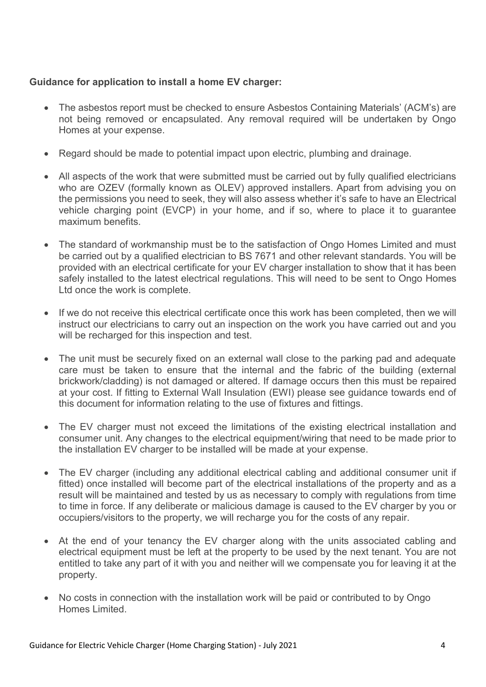## **Guidance for application to install a home EV charger:**

- The asbestos report must be checked to ensure Asbestos Containing Materials' (ACM's) are not being removed or encapsulated. Any removal required will be undertaken by Ongo Homes at your expense.
- Regard should be made to potential impact upon electric, plumbing and drainage.
- All aspects of the work that were submitted must be carried out by fully qualified electricians who are OZEV (formally known as OLEV) approved installers. Apart from advising you on the permissions you need to seek, they will also assess whether it's safe to have an Electrical vehicle charging point (EVCP) in your home, and if so, where to place it to guarantee maximum benefits.
- The standard of workmanship must be to the satisfaction of Ongo Homes Limited and must be carried out by a qualified electrician to BS 7671 and other relevant standards. You will be provided with an electrical certificate for your EV charger installation to show that it has been safely installed to the latest electrical regulations. This will need to be sent to Ongo Homes Ltd once the work is complete.
- If we do not receive this electrical certificate once this work has been completed, then we will instruct our electricians to carry out an inspection on the work you have carried out and you will be recharged for this inspection and test.
- The unit must be securely fixed on an external wall close to the parking pad and adequate care must be taken to ensure that the internal and the fabric of the building (external brickwork/cladding) is not damaged or altered. If damage occurs then this must be repaired at your cost. If fitting to External Wall Insulation (EWI) please see guidance towards end of this document for information relating to the use of fixtures and fittings.
- The EV charger must not exceed the limitations of the existing electrical installation and consumer unit. Any changes to the electrical equipment/wiring that need to be made prior to the installation EV charger to be installed will be made at your expense.
- The EV charger (including any additional electrical cabling and additional consumer unit if fitted) once installed will become part of the electrical installations of the property and as a result will be maintained and tested by us as necessary to comply with regulations from time to time in force. If any deliberate or malicious damage is caused to the EV charger by you or occupiers/visitors to the property, we will recharge you for the costs of any repair.
- At the end of your tenancy the EV charger along with the units associated cabling and electrical equipment must be left at the property to be used by the next tenant. You are not entitled to take any part of it with you and neither will we compensate you for leaving it at the property.
- No costs in connection with the installation work will be paid or contributed to by Ongo Homes Limited.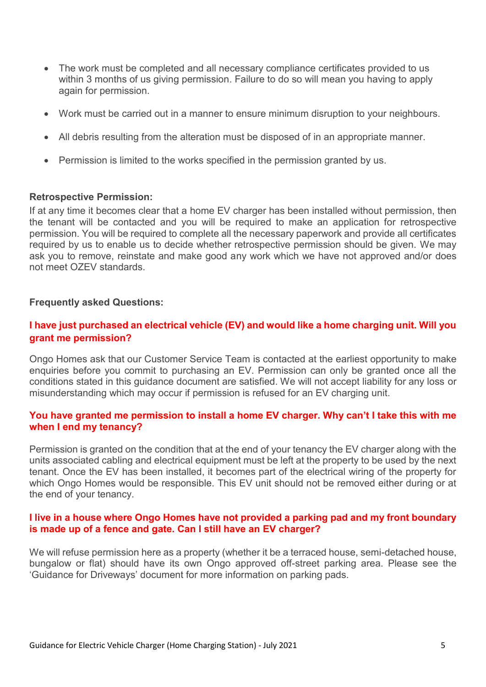- The work must be completed and all necessary compliance certificates provided to us within 3 months of us giving permission. Failure to do so will mean you having to apply again for permission.
- Work must be carried out in a manner to ensure minimum disruption to your neighbours.
- All debris resulting from the alteration must be disposed of in an appropriate manner.
- Permission is limited to the works specified in the permission granted by us.

#### **Retrospective Permission:**

If at any time it becomes clear that a home EV charger has been installed without permission, then the tenant will be contacted and you will be required to make an application for retrospective permission. You will be required to complete all the necessary paperwork and provide all certificates required by us to enable us to decide whether retrospective permission should be given. We may ask you to remove, reinstate and make good any work which we have not approved and/or does not meet OZEV standards.

#### **Frequently asked Questions:**

## **I have just purchased an electrical vehicle (EV) and would like a home charging unit. Will you grant me permission?**

Ongo Homes ask that our Customer Service Team is contacted at the earliest opportunity to make enquiries before you commit to purchasing an EV. Permission can only be granted once all the conditions stated in this guidance document are satisfied. We will not accept liability for any loss or misunderstanding which may occur if permission is refused for an EV charging unit.

#### **You have granted me permission to install a home EV charger. Why can't I take this with me when I end my tenancy?**

Permission is granted on the condition that at the end of your tenancy the EV charger along with the units associated cabling and electrical equipment must be left at the property to be used by the next tenant. Once the EV has been installed, it becomes part of the electrical wiring of the property for which Ongo Homes would be responsible. This EV unit should not be removed either during or at the end of your tenancy.

#### **I live in a house where Ongo Homes have not provided a parking pad and my front boundary is made up of a fence and gate. Can I still have an EV charger?**

We will refuse permission here as a property (whether it be a terraced house, semi-detached house, bungalow or flat) should have its own Ongo approved off-street parking area. Please see the 'Guidance for Driveways' document for more information on parking pads.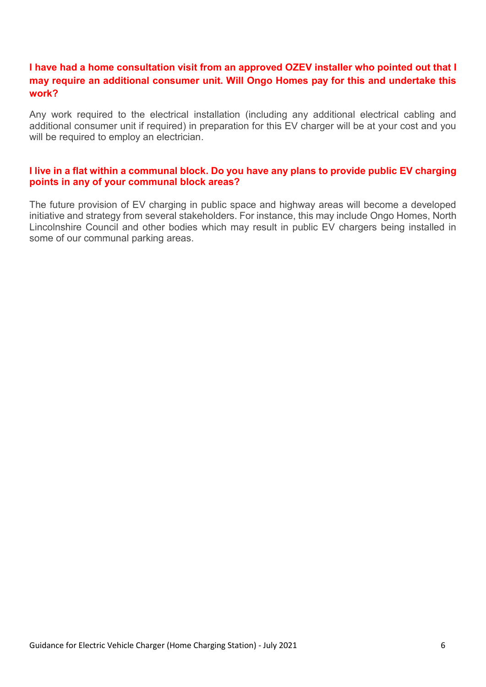## **I have had a home consultation visit from an approved OZEV installer who pointed out that I may require an additional consumer unit. Will Ongo Homes pay for this and undertake this work?**

Any work required to the electrical installation (including any additional electrical cabling and additional consumer unit if required) in preparation for this EV charger will be at your cost and you will be required to employ an electrician.

#### **I live in a flat within a communal block. Do you have any plans to provide public EV charging points in any of your communal block areas?**

The future provision of EV charging in public space and highway areas will become a developed initiative and strategy from several stakeholders. For instance, this may include Ongo Homes, North Lincolnshire Council and other bodies which may result in public EV chargers being installed in some of our communal parking areas.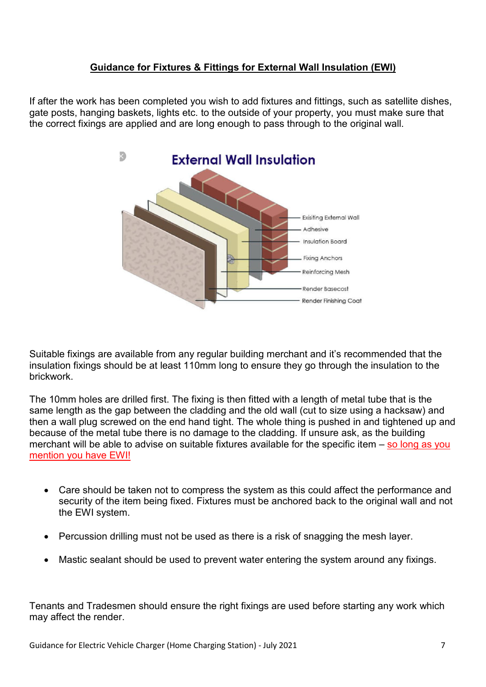## **Guidance for Fixtures & Fittings for External Wall Insulation (EWI)**

If after the work has been completed you wish to add fixtures and fittings, such as satellite dishes, gate posts, hanging baskets, lights etc. to the outside of your property, you must make sure that the correct fixings are applied and are long enough to pass through to the original wall.



Suitable fixings are available from any regular building merchant and it's recommended that the insulation fixings should be at least 110mm long to ensure they go through the insulation to the brickwork.

The 10mm holes are drilled first. The fixing is then fitted with a length of metal tube that is the same length as the gap between the cladding and the old wall (cut to size using a hacksaw) and then a wall plug screwed on the end hand tight. The whole thing is pushed in and tightened up and because of the metal tube there is no damage to the cladding. If unsure ask, as the building merchant will be able to advise on suitable fixtures available for the specific item – so long as you mention you have EWI!

- Care should be taken not to compress the system as this could affect the performance and security of the item being fixed. Fixtures must be anchored back to the original wall and not the EWI system.
- Percussion drilling must not be used as there is a risk of snagging the mesh layer.
- Mastic sealant should be used to prevent water entering the system around any fixings.

Tenants and Tradesmen should ensure the right fixings are used before starting any work which may affect the render.